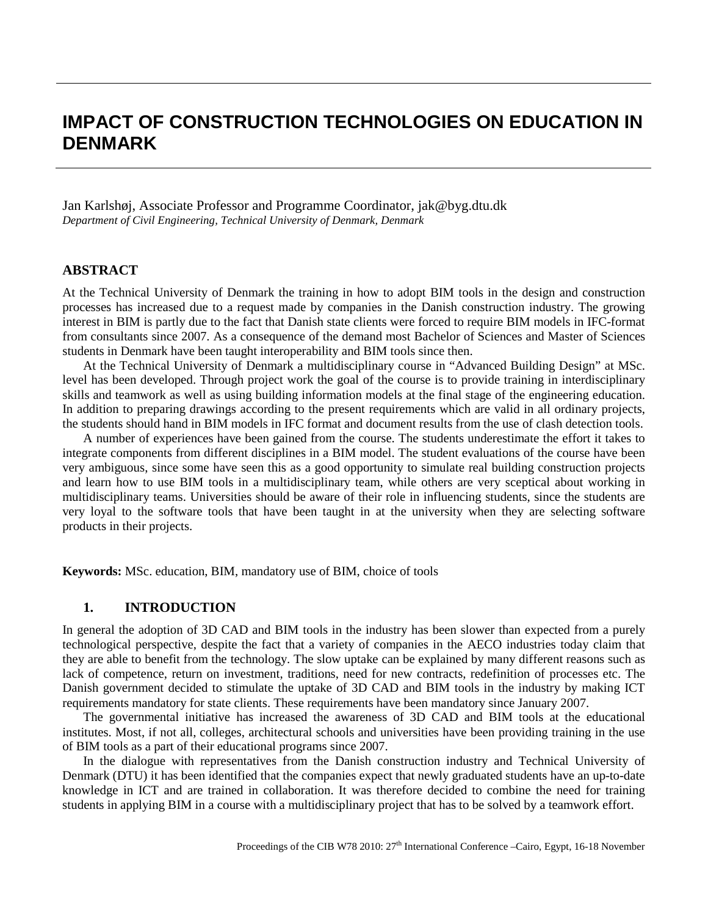# **IMPACT OF CONSTRUCTION TECHNOLOGIES ON EDUCATION IN DENMARK**

Jan Karlshøj, Associate Professor and Programme Coordinator, [jak@byg.dtu.dk](mailto:jak@byg.dtu.dk) *Department of Civil Engineering, Technical University of Denmark, Denmark*

### **ABSTRACT**

At the Technical University of Denmark the training in how to adopt BIM tools in the design and construction processes has increased due to a request made by companies in the Danish construction industry. The growing interest in BIM is partly due to the fact that Danish state clients were forced to require BIM models in IFC-format from consultants since 2007. As a consequence of the demand most Bachelor of Sciences and Master of Sciences students in Denmark have been taught interoperability and BIM tools since then.

At the Technical University of Denmark a multidisciplinary course in "Advanced Building Design" at MSc. level has been developed. Through project work the goal of the course is to provide training in interdisciplinary skills and teamwork as well as using building information models at the final stage of the engineering education. In addition to preparing drawings according to the present requirements which are valid in all ordinary projects, the students should hand in BIM models in IFC format and document results from the use of clash detection tools.

A number of experiences have been gained from the course. The students underestimate the effort it takes to integrate components from different disciplines in a BIM model. The student evaluations of the course have been very ambiguous, since some have seen this as a good opportunity to simulate real building construction projects and learn how to use BIM tools in a multidisciplinary team, while others are very sceptical about working in multidisciplinary teams. Universities should be aware of their role in influencing students, since the students are very loyal to the software tools that have been taught in at the university when they are selecting software products in their projects.

**Keywords:** MSc. education, BIM, mandatory use of BIM, choice of tools

### **1. INTRODUCTION**

In general the adoption of 3D CAD and BIM tools in the industry has been slower than expected from a purely technological perspective, despite the fact that a variety of companies in the AECO industries today claim that they are able to benefit from the technology. The slow uptake can be explained by many different reasons such as lack of competence, return on investment, traditions, need for new contracts, redefinition of processes etc. The Danish government decided to stimulate the uptake of 3D CAD and BIM tools in the industry by making ICT requirements mandatory for state clients. These requirements have been mandatory since January 2007.

The governmental initiative has increased the awareness of 3D CAD and BIM tools at the educational institutes. Most, if not all, colleges, architectural schools and universities have been providing training in the use of BIM tools as a part of their educational programs since 2007.

In the dialogue with representatives from the Danish construction industry and Technical University of Denmark (DTU) it has been identified that the companies expect that newly graduated students have an up-to-date knowledge in ICT and are trained in collaboration. It was therefore decided to combine the need for training students in applying BIM in a course with a multidisciplinary project that has to be solved by a teamwork effort.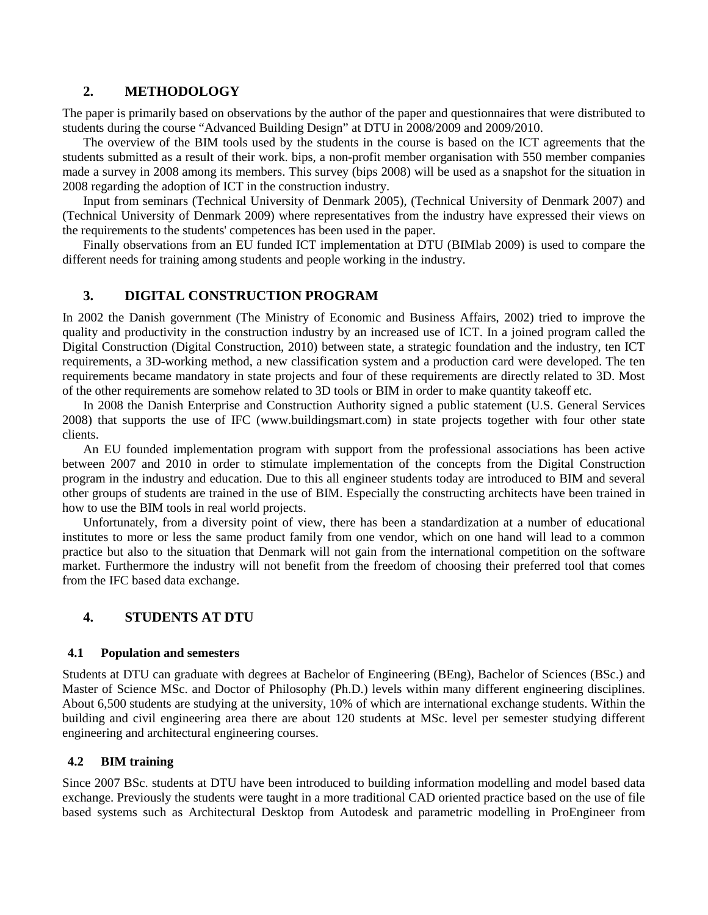# **2. METHODOLOGY**

The paper is primarily based on observations by the author of the paper and questionnaires that were distributed to students during the course "Advanced Building Design" at DTU in 2008/2009 and 2009/2010.

The overview of the BIM tools used by the students in the course is based on the ICT agreements that the students submitted as a result of their work. bips, a non-profit member organisation with 550 member companies made a survey in 2008 among its members. This survey (bips 2008) will be used as a snapshot for the situation in 2008 regarding the adoption of ICT in the construction industry.

Input from seminars (Technical University of Denmark 2005), (Technical University of Denmark 2007) and (Technical University of Denmark 2009) where representatives from the industry have expressed their views on the requirements to the students' competences has been used in the paper.

Finally observations from an EU funded ICT implementation at DTU (BIMlab 2009) is used to compare the different needs for training among students and people working in the industry.

## **3. DIGITAL CONSTRUCTION PROGRAM**

In 2002 the Danish government (The Ministry of Economic and Business Affairs, 2002) tried to improve the quality and productivity in the construction industry by an increased use of ICT. In a joined program called the Digital Construction (Digital Construction, 2010) between state, a strategic foundation and the industry, ten ICT requirements, a 3D-working method, a new classification system and a production card were developed. The ten requirements became mandatory in state projects and four of these requirements are directly related to 3D. Most of the other requirements are somehow related to 3D tools or BIM in order to make quantity takeoff etc.

In 2008 the Danish Enterprise and Construction Authority signed a public statement (U.S. General Services 2008) that supports the use of IFC (www.buildingsmart.com) in state projects together with four other state clients.

An EU founded implementation program with support from the professional associations has been active between 2007 and 2010 in order to stimulate implementation of the concepts from the Digital Construction program in the industry and education. Due to this all engineer students today are introduced to BIM and several other groups of students are trained in the use of BIM. Especially the constructing architects have been trained in how to use the BIM tools in real world projects.

Unfortunately, from a diversity point of view, there has been a standardization at a number of educational institutes to more or less the same product family from one vendor, which on one hand will lead to a common practice but also to the situation that Denmark will not gain from the international competition on the software market. Furthermore the industry will not benefit from the freedom of choosing their preferred tool that comes from the IFC based data exchange.

# **4. STUDENTS AT DTU**

### **4.1 Population and semesters**

Students at DTU can graduate with degrees at Bachelor of Engineering (BEng), Bachelor of Sciences (BSc.) and Master of Science MSc. and Doctor of Philosophy (Ph.D.) levels within many different engineering disciplines. About 6,500 students are studying at the university, 10% of which are international exchange students. Within the building and civil engineering area there are about 120 students at MSc. level per semester studying different engineering and architectural engineering courses.

# **4.2 BIM training**

Since 2007 BSc. students at DTU have been introduced to building information modelling and model based data exchange. Previously the students were taught in a more traditional CAD oriented practice based on the use of file based systems such as Architectural Desktop from Autodesk and parametric modelling in ProEngineer from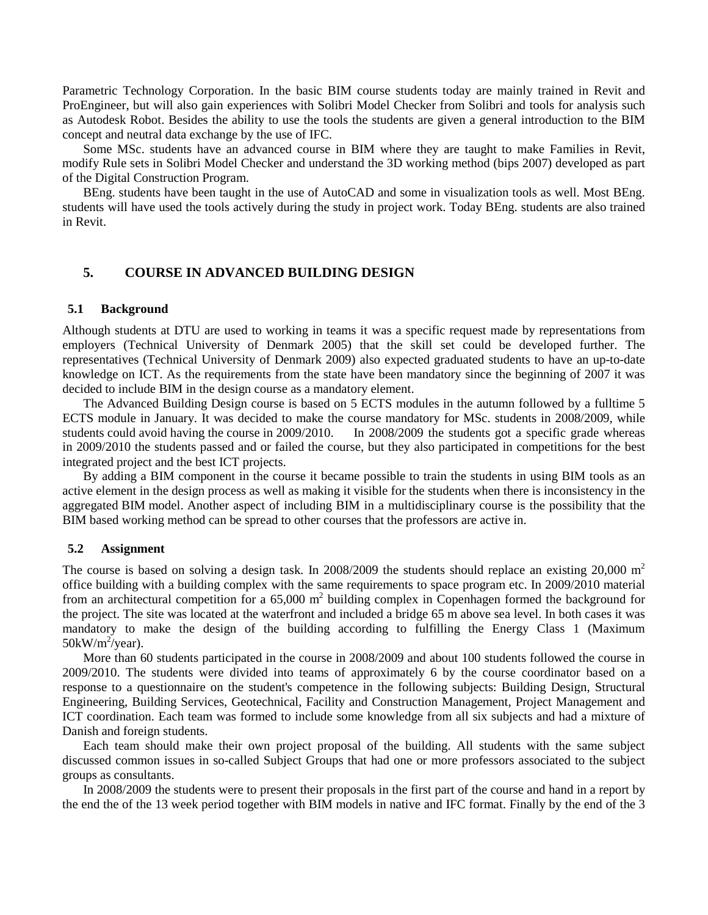Parametric Technology Corporation. In the basic BIM course students today are mainly trained in Revit and ProEngineer, but will also gain experiences with Solibri Model Checker from Solibri and tools for analysis such as Autodesk Robot. Besides the ability to use the tools the students are given a general introduction to the BIM concept and neutral data exchange by the use of IFC.

Some MSc. students have an advanced course in BIM where they are taught to make Families in Revit, modify Rule sets in Solibri Model Checker and understand the 3D working method (bips 2007) developed as part of the Digital Construction Program.

BEng. students have been taught in the use of AutoCAD and some in visualization tools as well. Most BEng. students will have used the tools actively during the study in project work. Today BEng. students are also trained in Revit.

# **5. COURSE IN ADVANCED BUILDING DESIGN**

#### **5.1 Background**

Although students at DTU are used to working in teams it was a specific request made by representations from employers (Technical University of Denmark 2005) that the skill set could be developed further. The representatives (Technical University of Denmark 2009) also expected graduated students to have an up-to-date knowledge on ICT. As the requirements from the state have been mandatory since the beginning of 2007 it was decided to include BIM in the design course as a mandatory element.

The Advanced Building Design course is based on 5 ECTS modules in the autumn followed by a fulltime 5 ECTS module in January. It was decided to make the course mandatory for MSc. students in 2008/2009, while students could avoid having the course in 2009/2010. In 2008/2009 the students got a specific grade whereas in 2009/2010 the students passed and or failed the course, but they also participated in competitions for the best integrated project and the best ICT projects.

By adding a BIM component in the course it became possible to train the students in using BIM tools as an active element in the design process as well as making it visible for the students when there is inconsistency in the aggregated BIM model. Another aspect of including BIM in a multidisciplinary course is the possibility that the BIM based working method can be spread to other courses that the professors are active in.

#### **5.2 Assignment**

The course is based on solving a design task. In 2008/2009 the students should replace an existing 20,000 m<sup>2</sup> office building with a building complex with the same requirements to space program etc. In 2009/2010 material from an architectural competition for a  $65,000$  m<sup>2</sup> building complex in Copenhagen formed the background for the project. The site was located at the waterfront and included a bridge 65 m above sea level. In both cases it was mandatory to make the design of the building according to fulfilling the Energy Class 1 (Maximum  $50 \text{kW/m}^2/\text{year}$ ).

More than 60 students participated in the course in 2008/2009 and about 100 students followed the course in 2009/2010. The students were divided into teams of approximately 6 by the course coordinator based on a response to a questionnaire on the student's competence in the following subjects: Building Design, Structural Engineering, Building Services, Geotechnical, Facility and Construction Management, Project Management and ICT coordination. Each team was formed to include some knowledge from all six subjects and had a mixture of Danish and foreign students.

Each team should make their own project proposal of the building. All students with the same subject discussed common issues in so-called Subject Groups that had one or more professors associated to the subject groups as consultants.

In 2008/2009 the students were to present their proposals in the first part of the course and hand in a report by the end the of the 13 week period together with BIM models in native and IFC format. Finally by the end of the 3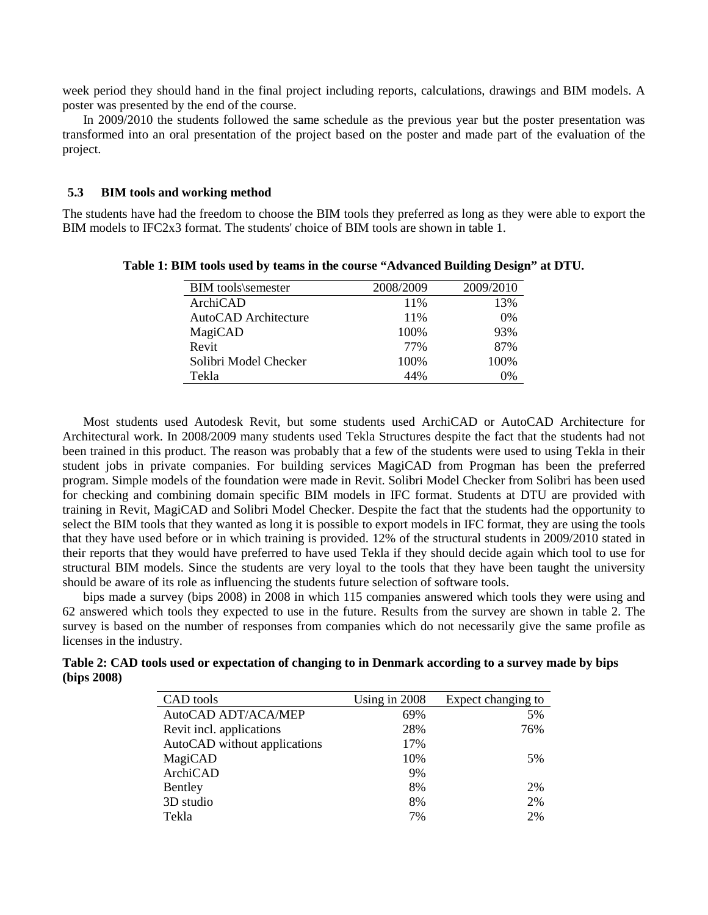week period they should hand in the final project including reports, calculations, drawings and BIM models. A poster was presented by the end of the course.

In 2009/2010 the students followed the same schedule as the previous year but the poster presentation was transformed into an oral presentation of the project based on the poster and made part of the evaluation of the project.

#### **5.3 BIM tools and working method**

The students have had the freedom to choose the BIM tools they preferred as long as they were able to export the BIM models to IFC2x3 format. The students' choice of BIM tools are shown in table 1.

| <b>BIM</b> tools\semester | 2008/2009 | 2009/2010 |
|---------------------------|-----------|-----------|
| ArchiCAD                  | 11%       | 13%       |
| AutoCAD Architecture      | 11%       | 0%        |
| MagiCAD                   | 100\%     | 93%       |
| Revit                     | 77%       | 87%       |
| Solibri Model Checker     | 100%      | 100%      |
| Tekla                     | 44%       | 0%        |

**Table 1: BIM tools used by teams in the course "Advanced Building Design" at DTU.**

Most students used Autodesk Revit, but some students used ArchiCAD or AutoCAD Architecture for Architectural work. In 2008/2009 many students used Tekla Structures despite the fact that the students had not been trained in this product. The reason was probably that a few of the students were used to using Tekla in their student jobs in private companies. For building services MagiCAD from Progman has been the preferred program. Simple models of the foundation were made in Revit. Solibri Model Checker from Solibri has been used for checking and combining domain specific BIM models in IFC format. Students at DTU are provided with training in Revit, MagiCAD and Solibri Model Checker. Despite the fact that the students had the opportunity to select the BIM tools that they wanted as long it is possible to export models in IFC format, they are using the tools that they have used before or in which training is provided. 12% of the structural students in 2009/2010 stated in their reports that they would have preferred to have used Tekla if they should decide again which tool to use for structural BIM models. Since the students are very loyal to the tools that they have been taught the university should be aware of its role as influencing the students future selection of software tools.

bips made a survey (bips 2008) in 2008 in which 115 companies answered which tools they were using and 62 answered which tools they expected to use in the future. Results from the survey are shown in table 2. The survey is based on the number of responses from companies which do not necessarily give the same profile as licenses in the industry.

| CAD tools                    | Using in $2008$ | Expect changing to |
|------------------------------|-----------------|--------------------|
| AutoCAD ADT/ACA/MEP          | 69%             | 5%                 |
| Revit incl. applications     | 28%             | 76%                |
| AutoCAD without applications | 17%             |                    |
| MagiCAD                      | 10%             | 5%                 |
| ArchiCAD                     | 9%              |                    |
| Bentley                      | 8%              | 2%                 |
| 3D studio                    | 8%              | 2%                 |
| Tekla                        | 7%              | 2%                 |

**Table 2: CAD tools used or expectation of changing to in Denmark according to a survey made by bips (bips 2008)**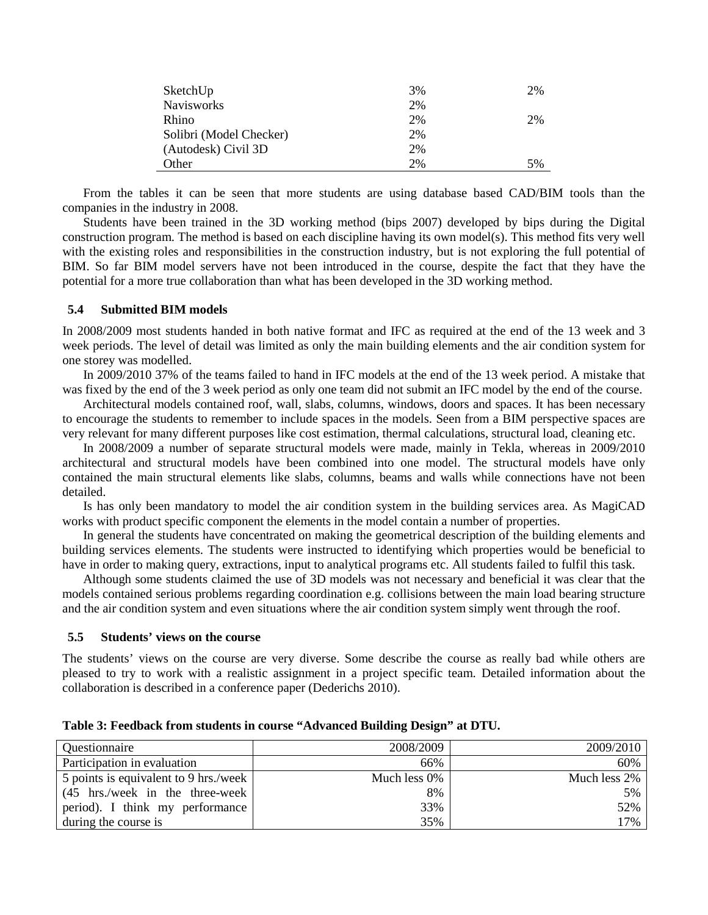| SketchUp                | 3% | 2% |
|-------------------------|----|----|
| <b>Navisworks</b>       | 2% |    |
| Rhino                   | 2% | 2% |
| Solibri (Model Checker) | 2% |    |
| (Autodesk) Civil 3D     | 2% |    |
| Other                   | 2% | 5% |

From the tables it can be seen that more students are using database based CAD/BIM tools than the companies in the industry in 2008.

Students have been trained in the 3D working method (bips 2007) developed by bips during the Digital construction program. The method is based on each discipline having its own model(s). This method fits very well with the existing roles and responsibilities in the construction industry, but is not exploring the full potential of BIM. So far BIM model servers have not been introduced in the course, despite the fact that they have the potential for a more true collaboration than what has been developed in the 3D working method.

#### **5.4 Submitted BIM models**

In 2008/2009 most students handed in both native format and IFC as required at the end of the 13 week and 3 week periods. The level of detail was limited as only the main building elements and the air condition system for one storey was modelled.

In 2009/2010 37% of the teams failed to hand in IFC models at the end of the 13 week period. A mistake that was fixed by the end of the 3 week period as only one team did not submit an IFC model by the end of the course.

Architectural models contained roof, wall, slabs, columns, windows, doors and spaces. It has been necessary to encourage the students to remember to include spaces in the models. Seen from a BIM perspective spaces are very relevant for many different purposes like cost estimation, thermal calculations, structural load, cleaning etc.

In 2008/2009 a number of separate structural models were made, mainly in Tekla, whereas in 2009/2010 architectural and structural models have been combined into one model. The structural models have only contained the main structural elements like slabs, columns, beams and walls while connections have not been detailed.

Is has only been mandatory to model the air condition system in the building services area. As MagiCAD works with product specific component the elements in the model contain a number of properties.

In general the students have concentrated on making the geometrical description of the building elements and building services elements. The students were instructed to identifying which properties would be beneficial to have in order to making query, extractions, input to analytical programs etc. All students failed to fulfil this task.

Although some students claimed the use of 3D models was not necessary and beneficial it was clear that the models contained serious problems regarding coordination e.g. collisions between the main load bearing structure and the air condition system and even situations where the air condition system simply went through the roof.

#### **5.5 Students' views on the course**

The students' views on the course are very diverse. Some describe the course as really bad while others are pleased to try to work with a realistic assignment in a project specific team. Detailed information about the collaboration is described in a conference paper (Dederichs 2010).

| Questionnaire                         | 2008/2009       | 2009/2010    |
|---------------------------------------|-----------------|--------------|
| Participation in evaluation           | 66%             | 60%          |
| 5 points is equivalent to 9 hrs./week | Much less $0\%$ | Much less 2% |
| (45 hrs./week in the three-week)      | 8%              | 5%           |
| period). I think my performance       | 33%             | 52%          |
| during the course is                  | 35%             | 17%          |

**Table 3: Feedback from students in course "Advanced Building Design" at DTU.**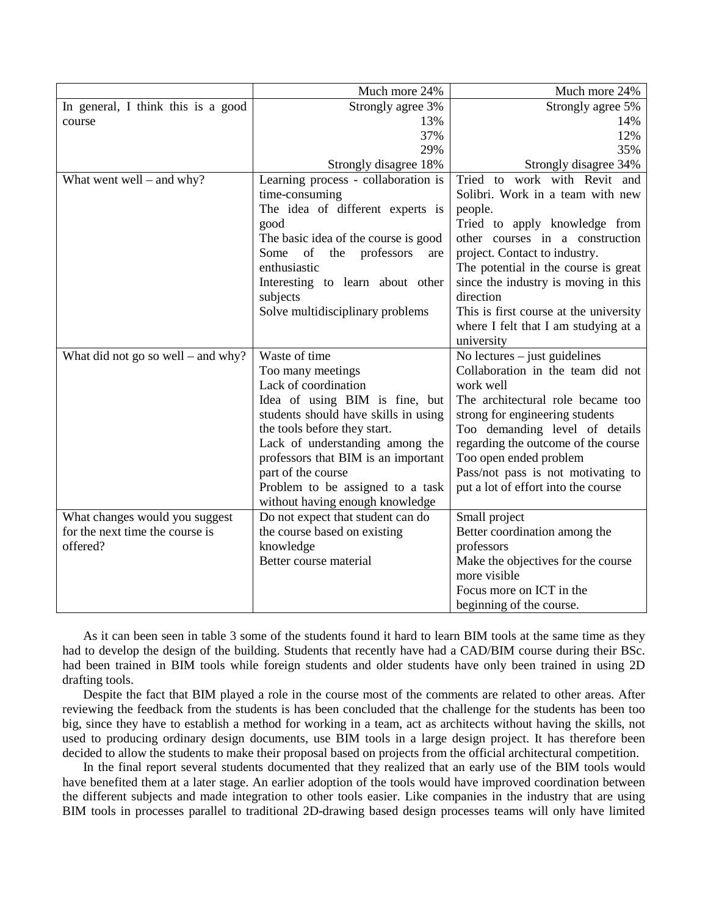|                                    | Much more 24%                          | Much more 24%                          |
|------------------------------------|----------------------------------------|----------------------------------------|
| In general, I think this is a good | Strongly agree 3%                      | Strongly agree 5%                      |
| course                             | 13%                                    | 14%                                    |
|                                    | 37%                                    | 12%                                    |
|                                    | 29%                                    | 35%                                    |
|                                    | Strongly disagree 18%                  | Strongly disagree 34%                  |
| What went well – and why?          | Learning process - collaboration is    | Tried to work with Revit and           |
|                                    | time-consuming                         | Solibri. Work in a team with new       |
|                                    | The idea of different experts is       | people.                                |
|                                    | good                                   | Tried to apply knowledge from          |
|                                    | The basic idea of the course is good   | other courses in a construction        |
|                                    | of<br>the<br>Some<br>professors<br>are | project. Contact to industry.          |
|                                    | enthusiastic                           | The potential in the course is great   |
|                                    | Interesting to learn about other       | since the industry is moving in this   |
|                                    | subjects                               | direction                              |
|                                    | Solve multidisciplinary problems       | This is first course at the university |
|                                    |                                        | where I felt that I am studying at a   |
|                                    |                                        | university                             |
| What did not go so well - and why? | Waste of time                          | No lectures $-$ just guidelines        |
|                                    | Too many meetings                      | Collaboration in the team did not      |
|                                    | Lack of coordination                   | work well                              |
|                                    | Idea of using BIM is fine, but         | The architectural role became too      |
|                                    | students should have skills in using   | strong for engineering students        |
|                                    | the tools before they start.           | Too demanding level of details         |
|                                    | Lack of understanding among the        | regarding the outcome of the course    |
|                                    | professors that BIM is an important    | Too open ended problem                 |
|                                    | part of the course                     | Pass/not pass is not motivating to     |
|                                    | Problem to be assigned to a task       | put a lot of effort into the course    |
|                                    | without having enough knowledge        |                                        |
| What changes would you suggest     | Do not expect that student can do      | Small project                          |
| for the next time the course is    | the course based on existing           | Better coordination among the          |
| offered?                           | knowledge                              | professors                             |
|                                    | Better course material                 | Make the objectives for the course     |
|                                    |                                        | more visible                           |
|                                    |                                        | Focus more on ICT in the               |
|                                    |                                        | beginning of the course.               |

As it can been seen in table 3 some of the students found it hard to learn BIM tools at the same time as they had to develop the design of the building. Students that recently have had a CAD/BIM course during their BSc. had been trained in BIM tools while foreign students and older students have only been trained in using 2D drafting tools.

Despite the fact that BIM played a role in the course most of the comments are related to other areas. After reviewing the feedback from the students is has been concluded that the challenge for the students has been too big, since they have to establish a method for working in a team, act as architects without having the skills, not used to producing ordinary design documents, use BIM tools in a large design project. It has therefore been decided to allow the students to make their proposal based on projects from the official architectural competition.

In the final report several students documented that they realized that an early use of the BIM tools would have benefited them at a later stage. An earlier adoption of the tools would have improved coordination between the different subjects and made integration to other tools easier. Like companies in the industry that are using BIM tools in processes parallel to traditional 2D-drawing based design processes teams will only have limited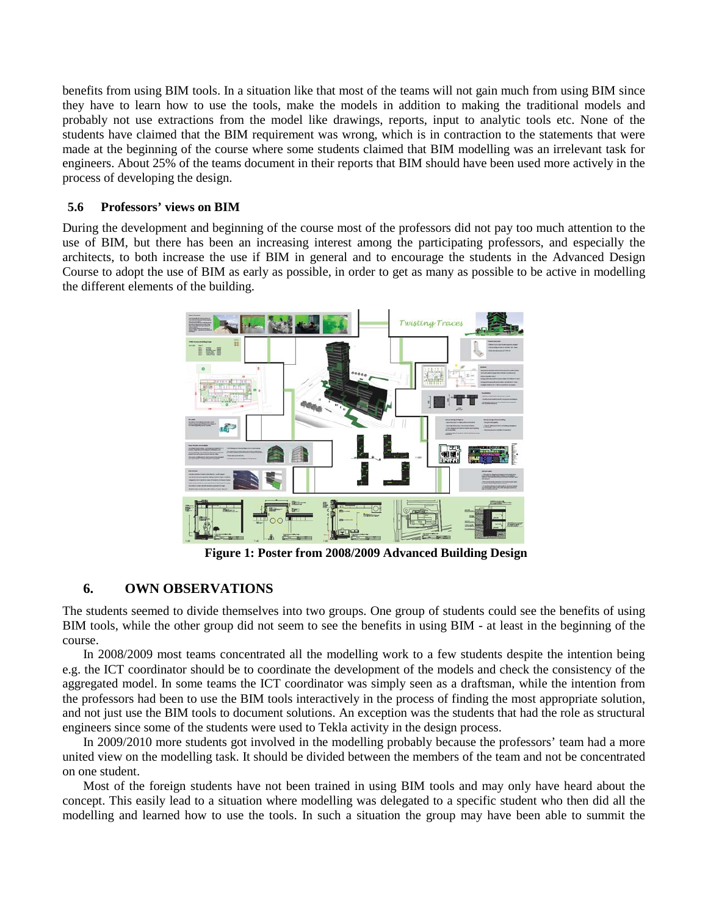benefits from using BIM tools. In a situation like that most of the teams will not gain much from using BIM since they have to learn how to use the tools, make the models in addition to making the traditional models and probably not use extractions from the model like drawings, reports, input to analytic tools etc. None of the students have claimed that the BIM requirement was wrong, which is in contraction to the statements that were made at the beginning of the course where some students claimed that BIM modelling was an irrelevant task for engineers. About 25% of the teams document in their reports that BIM should have been used more actively in the process of developing the design.

# **5.6 Professors' views on BIM**

During the development and beginning of the course most of the professors did not pay too much attention to the use of BIM, but there has been an increasing interest among the participating professors, and especially the architects, to both increase the use if BIM in general and to encourage the students in the Advanced Design Course to adopt the use of BIM as early as possible, in order to get as many as possible to be active in modelling the different elements of the building.



**Figure 1: Poster from 2008/2009 Advanced Building Design**

# **6. OWN OBSERVATIONS**

The students seemed to divide themselves into two groups. One group of students could see the benefits of using BIM tools, while the other group did not seem to see the benefits in using BIM - at least in the beginning of the course.

In 2008/2009 most teams concentrated all the modelling work to a few students despite the intention being e.g. the ICT coordinator should be to coordinate the development of the models and check the consistency of the aggregated model. In some teams the ICT coordinator was simply seen as a draftsman, while the intention from the professors had been to use the BIM tools interactively in the process of finding the most appropriate solution, and not just use the BIM tools to document solutions. An exception was the students that had the role as structural engineers since some of the students were used to Tekla activity in the design process.

In 2009/2010 more students got involved in the modelling probably because the professors' team had a more united view on the modelling task. It should be divided between the members of the team and not be concentrated on one student.

Most of the foreign students have not been trained in using BIM tools and may only have heard about the concept. This easily lead to a situation where modelling was delegated to a specific student who then did all the modelling and learned how to use the tools. In such a situation the group may have been able to summit the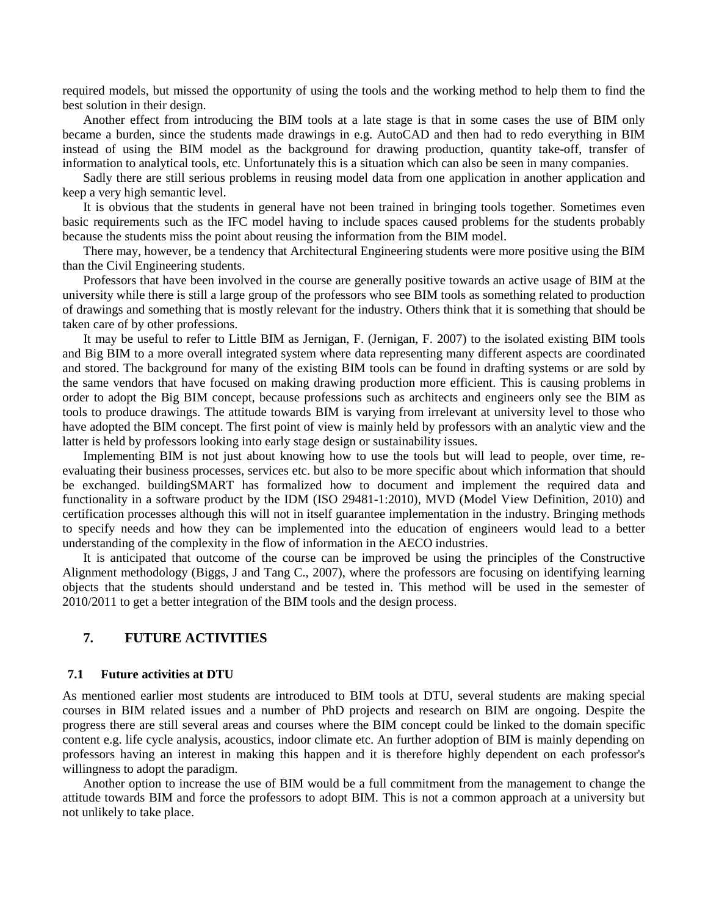required models, but missed the opportunity of using the tools and the working method to help them to find the best solution in their design.

Another effect from introducing the BIM tools at a late stage is that in some cases the use of BIM only became a burden, since the students made drawings in e.g. AutoCAD and then had to redo everything in BIM instead of using the BIM model as the background for drawing production, quantity take-off, transfer of information to analytical tools, etc. Unfortunately this is a situation which can also be seen in many companies.

Sadly there are still serious problems in reusing model data from one application in another application and keep a very high semantic level.

It is obvious that the students in general have not been trained in bringing tools together. Sometimes even basic requirements such as the IFC model having to include spaces caused problems for the students probably because the students miss the point about reusing the information from the BIM model.

There may, however, be a tendency that Architectural Engineering students were more positive using the BIM than the Civil Engineering students.

Professors that have been involved in the course are generally positive towards an active usage of BIM at the university while there is still a large group of the professors who see BIM tools as something related to production of drawings and something that is mostly relevant for the industry. Others think that it is something that should be taken care of by other professions.

It may be useful to refer to Little BIM as Jernigan, F. (Jernigan, F. 2007) to the isolated existing BIM tools and Big BIM to a more overall integrated system where data representing many different aspects are coordinated and stored. The background for many of the existing BIM tools can be found in drafting systems or are sold by the same vendors that have focused on making drawing production more efficient. This is causing problems in order to adopt the Big BIM concept, because professions such as architects and engineers only see the BIM as tools to produce drawings. The attitude towards BIM is varying from irrelevant at university level to those who have adopted the BIM concept. The first point of view is mainly held by professors with an analytic view and the latter is held by professors looking into early stage design or sustainability issues.

Implementing BIM is not just about knowing how to use the tools but will lead to people, over time, reevaluating their business processes, services etc. but also to be more specific about which information that should be exchanged. buildingSMART has formalized how to document and implement the required data and functionality in a software product by the IDM (ISO 29481-1:2010), MVD (Model View Definition, 2010) and certification processes although this will not in itself guarantee implementation in the industry. Bringing methods to specify needs and how they can be implemented into the education of engineers would lead to a better understanding of the complexity in the flow of information in the AECO industries.

It is anticipated that outcome of the course can be improved be using the principles of the Constructive Alignment methodology (Biggs, J and Tang C., 2007), where the professors are focusing on identifying learning objects that the students should understand and be tested in. This method will be used in the semester of 2010/2011 to get a better integration of the BIM tools and the design process.

## **7. FUTURE ACTIVITIES**

#### **7.1 Future activities at DTU**

As mentioned earlier most students are introduced to BIM tools at DTU, several students are making special courses in BIM related issues and a number of PhD projects and research on BIM are ongoing. Despite the progress there are still several areas and courses where the BIM concept could be linked to the domain specific content e.g. life cycle analysis, acoustics, indoor climate etc. An further adoption of BIM is mainly depending on professors having an interest in making this happen and it is therefore highly dependent on each professor's willingness to adopt the paradigm.

Another option to increase the use of BIM would be a full commitment from the management to change the attitude towards BIM and force the professors to adopt BIM. This is not a common approach at a university but not unlikely to take place.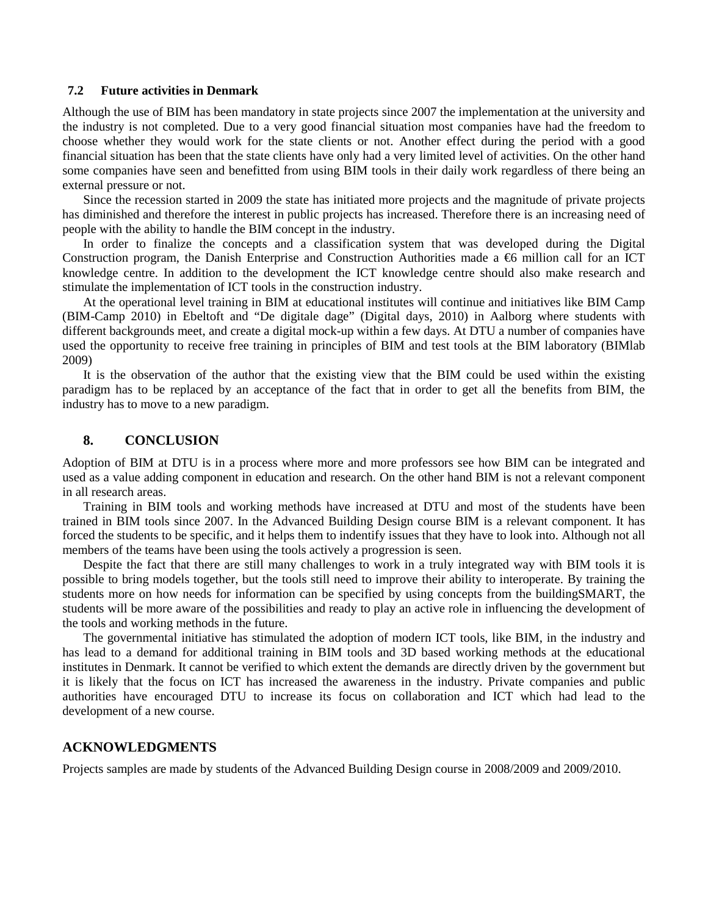### **7.2 Future activities in Denmark**

Although the use of BIM has been mandatory in state projects since 2007 the implementation at the university and the industry is not completed. Due to a very good financial situation most companies have had the freedom to choose whether they would work for the state clients or not. Another effect during the period with a good financial situation has been that the state clients have only had a very limited level of activities. On the other hand some companies have seen and benefitted from using BIM tools in their daily work regardless of there being an external pressure or not.

Since the recession started in 2009 the state has initiated more projects and the magnitude of private projects has diminished and therefore the interest in public projects has increased. Therefore there is an increasing need of people with the ability to handle the BIM concept in the industry.

In order to finalize the concepts and a classification system that was developed during the Digital Construction program, the Danish Enterprise and Construction Authorities made a €6 million call for an ICT knowledge centre. In addition to the development the ICT knowledge centre should also make research and stimulate the implementation of ICT tools in the construction industry.

At the operational level training in BIM at educational institutes will continue and initiatives like BIM Camp (BIM-Camp 2010) in Ebeltoft and "De digitale dage" (Digital days, 2010) in Aalborg where students with different backgrounds meet, and create a digital mock-up within a few days. At DTU a number of companies have used the opportunity to receive free training in principles of BIM and test tools at the BIM laboratory (BIMlab 2009)

It is the observation of the author that the existing view that the BIM could be used within the existing paradigm has to be replaced by an acceptance of the fact that in order to get all the benefits from BIM, the industry has to move to a new paradigm.

### **8. CONCLUSION**

Adoption of BIM at DTU is in a process where more and more professors see how BIM can be integrated and used as a value adding component in education and research. On the other hand BIM is not a relevant component in all research areas.

Training in BIM tools and working methods have increased at DTU and most of the students have been trained in BIM tools since 2007. In the Advanced Building Design course BIM is a relevant component. It has forced the students to be specific, and it helps them to indentify issues that they have to look into. Although not all members of the teams have been using the tools actively a progression is seen.

Despite the fact that there are still many challenges to work in a truly integrated way with BIM tools it is possible to bring models together, but the tools still need to improve their ability to interoperate. By training the students more on how needs for information can be specified by using concepts from the buildingSMART, the students will be more aware of the possibilities and ready to play an active role in influencing the development of the tools and working methods in the future.

The governmental initiative has stimulated the adoption of modern ICT tools, like BIM, in the industry and has lead to a demand for additional training in BIM tools and 3D based working methods at the educational institutes in Denmark. It cannot be verified to which extent the demands are directly driven by the government but it is likely that the focus on ICT has increased the awareness in the industry. Private companies and public authorities have encouraged DTU to increase its focus on collaboration and ICT which had lead to the development of a new course.

#### **ACKNOWLEDGMENTS**

Projects samples are made by students of the Advanced Building Design course in 2008/2009 and 2009/2010.